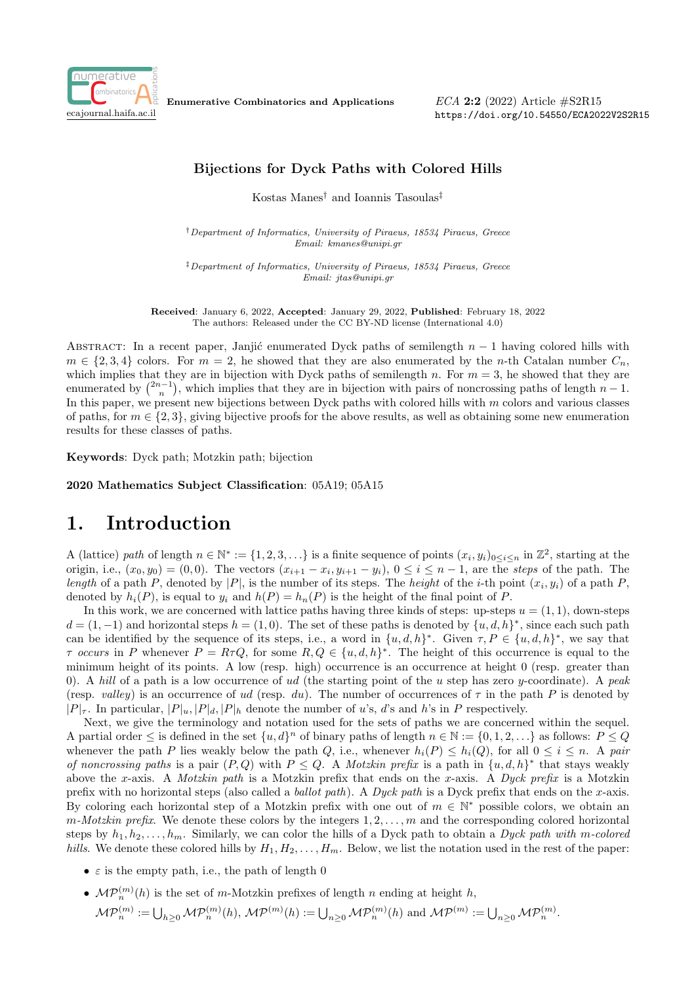

Enumerative Combinatorics and Applications

ECA 2:2 (2022) Article #S2R15 https://doi.org/10.54550/ECA2022V2S2R15

#### Bijections for Dyck Paths with Colored Hills

Kostas Manes† and Ioannis Tasoulas‡

†Department of Informatics, University of Piraeus, 18534 Piraeus, Greece Email: kmanes@unipi.gr

‡Department of Informatics, University of Piraeus, 18534 Piraeus, Greece Email: jtas@unipi.gr

Received: January 6, 2022, Accepted: January 29, 2022, Published: February 18, 2022 The authors: Released under the CC BY-ND license (International 4.0)

ABSTRACT: In a recent paper, Janjić enumerated Dyck paths of semilength  $n-1$  having colored hills with  $m \in \{2, 3, 4\}$  colors. For  $m = 2$ , he showed that they are also enumerated by the n-th Catalan number  $C_n$ , which implies that they are in bijection with Dyck paths of semilength n. For  $m = 3$ , he showed that they are enumerated by  $\binom{2n-1}{n}$ , which implies that they are in bijection with pairs of noncrossing paths of length  $n-1$ . In this paper, we present new bijections between Dyck paths with colored hills with  $m$  colors and various classes of paths, for  $m \in \{2, 3\}$ , giving bijective proofs for the above results, as well as obtaining some new enumeration results for these classes of paths.

Keywords: Dyck path; Motzkin path; bijection

2020 Mathematics Subject Classification: 05A19; 05A15

### 1. Introduction

A (lattice) path of length  $n \in \mathbb{N}^* := \{1, 2, 3, \ldots\}$  is a finite sequence of points  $(x_i, y_i)_{0 \leq i \leq n}$  in  $\mathbb{Z}^2$ , starting at the origin, i.e.,  $(x_0, y_0) = (0, 0)$ . The vectors  $(x_{i+1} - x_i, y_{i+1} - y_i)$ ,  $0 \le i \le n-1$ , are the steps of the path. The length of a path P, denoted by |P|, is the number of its steps. The height of the *i*-th point  $(x_i, y_i)$  of a path P, denoted by  $h_i(P)$ , is equal to  $y_i$  and  $h(P) = h_n(P)$  is the height of the final point of P.

In this work, we are concerned with lattice paths having three kinds of steps: up-steps  $u = (1, 1)$ , down-steps  $d = (1, -1)$  and horizontal steps  $h = (1, 0)$ . The set of these paths is denoted by  $\{u, d, h\}^*$ , since each such path can be identified by the sequence of its steps, i.e., a word in  $\{u, d, h\}^*$ . Given  $\tau, P \in \{u, d, h\}^*$ , we say that  $\tau$  occurs in P whenever  $P = R\tau Q$ , for some  $R, Q \in \{u, d, h\}^*$ . The height of this occurrence is equal to the minimum height of its points. A low (resp. high) occurrence is an occurrence at height 0 (resp. greater than 0). A hill of a path is a low occurrence of ud (the starting point of the u step has zero y-coordinate). A peak (resp. valley) is an occurrence of ud (resp. du). The number of occurrences of  $\tau$  in the path P is denoted by  $|P|_{\tau}$ . In particular,  $|P|_u$ ,  $|P|_d$ ,  $|P|_h$  denote the number of u's, d's and h's in P respectively.

Next, we give the terminology and notation used for the sets of paths we are concerned within the sequel. A partial order  $\leq$  is defined in the set  $\{u,d\}^n$  of binary paths of length  $n \in \mathbb{N} := \{0,1,2,\ldots\}$  as follows:  $P \leq Q$ whenever the path P lies weakly below the path Q, i.e., whenever  $h_i(P) \leq h_i(Q)$ , for all  $0 \leq i \leq n$ . A pair of noncrossing paths is a pair  $(P,Q)$  with  $P \leq Q$ . A *Motzkin prefix* is a path in  $\{u,d,h\}^*$  that stays weakly above the x-axis. A *Motzkin path* is a Motzkin prefix that ends on the x-axis. A *Dyck prefix* is a Motzkin prefix with no horizontal steps (also called a *ballot path*). A Dyck path is a Dyck prefix that ends on the x-axis. By coloring each horizontal step of a Motzkin prefix with one out of  $m \in \mathbb{N}^*$  possible colors, we obtain an  $m-Motzkin\,\text{prefix.}$  We denote these colors by the integers  $1, 2, \ldots, m$  and the corresponding colored horizontal steps by  $h_1, h_2, \ldots, h_m$ . Similarly, we can color the hills of a Dyck path to obtain a Dyck path with m-colored hills. We denote these colored hills by  $H_1, H_2, \ldots, H_m$ . Below, we list the notation used in the rest of the paper:

- $\varepsilon$  is the empty path, i.e., the path of length 0
- $\mathcal{MP}_n^{(m)}(h)$  is the set of m-Motzkin prefixes of length n ending at height h,  $\mathcal{MP}_n^{(m)} := \bigcup_{h\geq 0} \mathcal{MP}_n^{(m)}(h), \, \mathcal{MP}^{(m)}(h) := \bigcup_{n\geq 0} \mathcal{MP}_n^{(m)}(h) \text{ and } \mathcal{MP}_n^{(m)} := \bigcup_{n\geq 0} \mathcal{MP}_n^{(m)}.$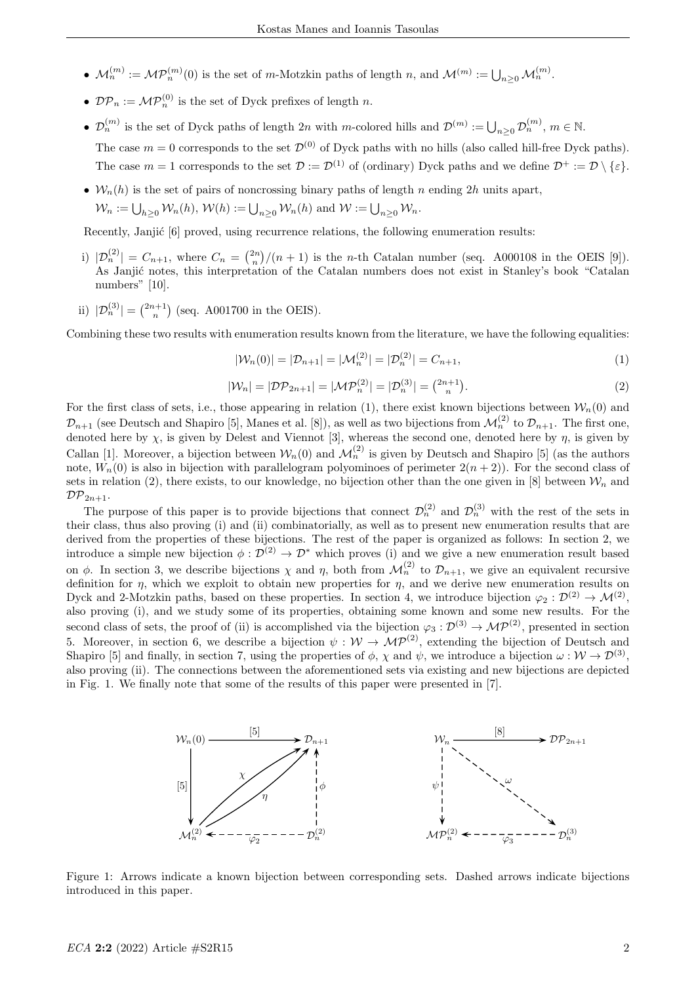- $\mathcal{M}_n^{(m)} := \mathcal{MP}_n^{(m)}(0)$  is the set of m-Motzkin paths of length n, and  $\mathcal{M}_n^{(m)} := \bigcup_{n \geq 0} \mathcal{M}_n^{(m)}$ .
- $\mathcal{DP}_n := \mathcal{MP}_n^{(0)}$  is the set of Dyck prefixes of length n.
- $\mathcal{D}_n^{(m)}$  is the set of Dyck paths of length  $2n$  with m-colored hills and  $\mathcal{D}^{(m)} := \bigcup_{n \geq 0} \mathcal{D}_n^{(m)}$ ,  $m \in \mathbb{N}$ . The case  $m = 0$  corresponds to the set  $\mathcal{D}^{(0)}$  of Dyck paths with no hills (also called hill-free Dyck paths). The case  $m = 1$  corresponds to the set  $\mathcal{D} := \mathcal{D}^{(1)}$  of (ordinary) Dyck paths and we define  $\mathcal{D}^+ := \mathcal{D} \setminus \{\varepsilon\}.$
- $W_n(h)$  is the set of pairs of noncrossing binary paths of length n ending 2h units apart,  $\mathcal{W}_n := \bigcup_{h \geq 0} \mathcal{W}_n(h), \, \mathcal{W}(h) := \bigcup_{n \geq 0} \mathcal{W}_n(h)$  and  $\mathcal{W} := \bigcup_{n \geq 0} \mathcal{W}_n$ .

Recently, Janjić [6] proved, using recurrence relations, the following enumeration results:

- i)  $|\mathcal{D}_n^{(2)}| = C_{n+1}$ , where  $C_n = \binom{2n}{n} / (n+1)$  is the n-th Catalan number (seq. A000108 in the OEIS [9]). As Janjić notes, this interpretation of the Catalan numbers does not exist in Stanley's book "Catalan numbers" [10].
- ii)  $|\mathcal{D}_n^{(3)}| = \binom{2n+1}{n}$  (seq. A001700 in the OEIS).

Combining these two results with enumeration results known from the literature, we have the following equalities:

$$
|\mathcal{W}_n(0)| = |\mathcal{D}_{n+1}| = |\mathcal{M}_n^{(2)}| = |\mathcal{D}_n^{(2)}| = C_{n+1},
$$
\n(1)

$$
|\mathcal{W}_n| = |\mathcal{DP}_{2n+1}| = |\mathcal{MP}_n^{(2)}| = |\mathcal{D}_n^{(3)}| = \binom{2n+1}{n}.
$$
\n(2)

For the first class of sets, i.e., those appearing in relation (1), there exist known bijections between  $\mathcal{W}_n(0)$  and  $\mathcal{D}_{n+1}$  (see Deutsch and Shapiro [5], Manes et al. [8]), as well as two bijections from  $\mathcal{M}_n^{(2)}$  to  $\mathcal{D}_{n+1}$ . The first one, denoted here by  $\chi$ , is given by Delest and Viennot [3], whereas the second one, denoted here by  $\eta$ , is given by Callan [1]. Moreover, a bijection between  $W_n(0)$  and  $\mathcal{M}_n^{(2)}$  is given by Deutsch and Shapiro [5] (as the authors note,  $W_n(0)$  is also in bijection with parallelogram polyominoes of perimeter  $2(n+2)$ ). For the second class of sets in relation (2), there exists, to our knowledge, no bijection other than the one given in [8] between  $\mathcal{W}_n$  and  $\mathcal{DP}_{2n+1}$ .

The purpose of this paper is to provide bijections that connect  $\mathcal{D}_n^{(2)}$  and  $\mathcal{D}_n^{(3)}$  with the rest of the sets in their class, thus also proving (i) and (ii) combinatorially, as well as to present new enumeration results that are derived from the properties of these bijections. The rest of the paper is organized as follows: In section 2, we introduce a simple new bijection  $\phi : \mathcal{D}^{(2)} \to \mathcal{D}^*$  which proves (i) and we give a new enumeration result based on  $\phi$ . In section 3, we describe bijections  $\chi$  and  $\eta$ , both from  $\mathcal{M}_n^{(2)}$  to  $\mathcal{D}_{n+1}$ , we give an equivalent recursive definition for  $\eta$ , which we exploit to obtain new properties for  $\eta$ , and we derive new enumeration results on Dyck and 2-Motzkin paths, based on these properties. In section 4, we introduce bijection  $\varphi_2: \mathcal{D}^{(2)} \to \mathcal{M}^{(2)}$ , also proving (i), and we study some of its properties, obtaining some known and some new results. For the second class of sets, the proof of (ii) is accomplished via the bijection  $\varphi_3 : \mathcal{D}^{(3)} \to \mathcal{MP}^{(2)}$ , presented in section 5. Moreover, in section 6, we describe a bijection  $\psi : W \to \mathcal{MP}^{(2)}$ , extending the bijection of Deutsch and Shapiro [5] and finally, in section 7, using the properties of  $\phi$ ,  $\chi$  and  $\psi$ , we introduce a bijection  $\omega : \mathcal{W} \to \mathcal{D}^{(3)}$ , also proving (ii). The connections between the aforementioned sets via existing and new bijections are depicted in Fig. 1. We finally note that some of the results of this paper were presented in [7].



Figure 1: Arrows indicate a known bijection between corresponding sets. Dashed arrows indicate bijections introduced in this paper.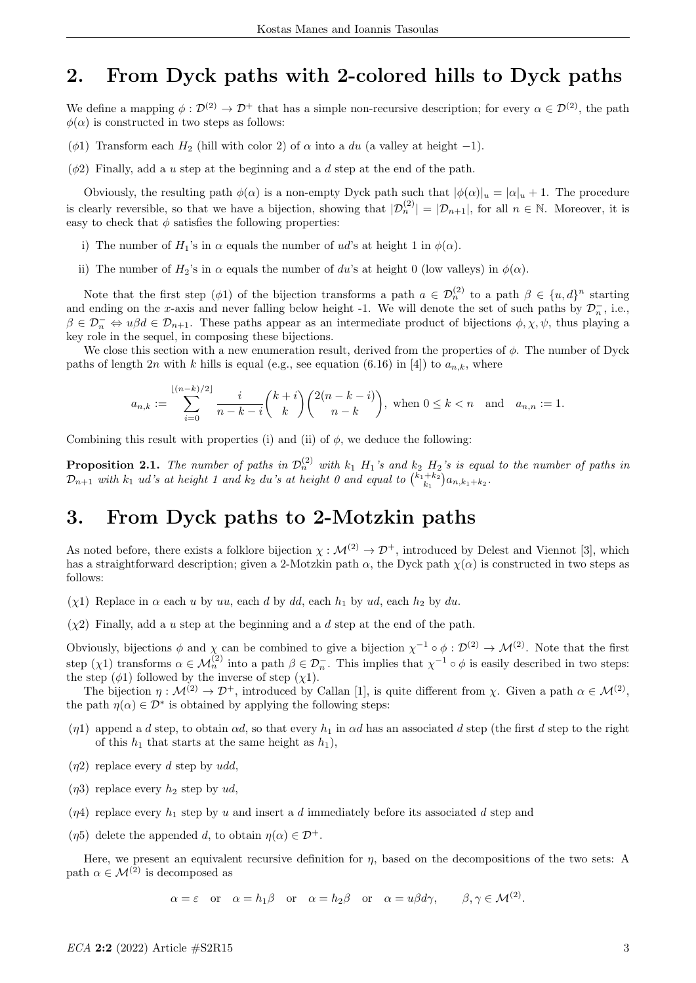### 2. From Dyck paths with 2-colored hills to Dyck paths

We define a mapping  $\phi : \mathcal{D}^{(2)} \to \mathcal{D}^+$  that has a simple non-recursive description; for every  $\alpha \in \mathcal{D}^{(2)}$ , the path  $\phi(\alpha)$  is constructed in two steps as follows:

- ( $\phi$ 1) Transform each  $H_2$  (hill with color 2) of  $\alpha$  into a du (a valley at height -1).
- $(\phi 2)$  Finally, add a u step at the beginning and a d step at the end of the path.

Obviously, the resulting path  $\phi(\alpha)$  is a non-empty Dyck path such that  $|\phi(\alpha)|_u = |\alpha|_u + 1$ . The procedure is clearly reversible, so that we have a bijection, showing that  $|\mathcal{D}_n^{(2)}| = |\mathcal{D}_{n+1}|$ , for all  $n \in \mathbb{N}$ . Moreover, it is easy to check that  $\phi$  satisfies the following properties:

- i) The number of  $H_1$ 's in  $\alpha$  equals the number of ud's at height 1 in  $\phi(\alpha)$ .
- ii) The number of  $H_2$ 's in  $\alpha$  equals the number of du's at height 0 (low valleys) in  $\phi(\alpha)$ .

Note that the first step ( $\phi$ 1) of the bijection transforms a path  $a \in \mathcal{D}_n^{(2)}$  to a path  $\beta \in \{u, d\}^n$  starting and ending on the x-axis and never falling below height -1. We will denote the set of such paths by  $\mathcal{D}_n^-$ , i.e.,  $\beta \in \mathcal{D}_n^- \Leftrightarrow u\beta d \in \mathcal{D}_{n+1}$ . These paths appear as an intermediate product of bijections  $\phi, \chi, \psi$ , thus playing a key role in the sequel, in composing these bijections.

We close this section with a new enumeration result, derived from the properties of  $\phi$ . The number of Dyck paths of length 2n with k hills is equal (e.g., see equation (6.16) in [4]) to  $a_{n,k}$ , where

$$
a_{n,k} := \sum_{i=0}^{\lfloor (n-k)/2 \rfloor} \frac{i}{n-k-i} {k+i \choose k} {2(n-k-i) \choose n-k}, \text{ when } 0 \le k < n \text{ and } a_{n,n} := 1.
$$

Combining this result with properties (i) and (ii) of  $\phi$ , we deduce the following:

**Proposition 2.1.** The number of paths in  $\mathcal{D}_n^{(2)}$  with  $k_1$  H<sub>1</sub>'s and  $k_2$  H<sub>2</sub>'s is equal to the number of paths in  $\mathcal{D}_{n+1}$  with  $k_1$  ud's at height 1 and  $k_2$  du's at height 0 and equal to  $\binom{k_1+k_2}{k_1}a_{n,k_1+k_2}$ .

### 3. From Dyck paths to 2-Motzkin paths

As noted before, there exists a folklore bijection  $\chi : \mathcal{M}^{(2)} \to \mathcal{D}^+$ , introduced by Delest and Viennot [3], which has a straightforward description; given a 2-Motzkin path  $\alpha$ , the Dyck path  $\chi(\alpha)$  is constructed in two steps as follows:

(x1) Replace in  $\alpha$  each u by uu, each d by dd, each  $h_1$  by ud, each  $h_2$  by du.

 $(\chi^2)$  Finally, add a u step at the beginning and a d step at the end of the path.

Obviously, bijections  $\phi$  and  $\chi$  can be combined to give a bijection  $\chi^{-1} \circ \phi : \mathcal{D}^{(2)} \to \mathcal{M}^{(2)}$ . Note that the first step  $(\chi 1)$  transforms  $\alpha \in \mathcal{M}_n^{(2)}$  into a path  $\beta \in \mathcal{D}_n^-$ . This implies that  $\chi^{-1} \circ \phi$  is easily described in two steps: the step  $(\phi 1)$  followed by the inverse of step  $(\chi 1)$ .

The bijection  $\eta : \mathcal{M}^{(2)} \to \mathcal{D}^+$ , introduced by Callan [1], is quite different from  $\chi$ . Given a path  $\alpha \in \mathcal{M}^{(2)}$ , the path  $\eta(\alpha) \in \mathcal{D}^*$  is obtained by applying the following steps:

- (η1) append a d step, to obtain  $\alpha d$ , so that every  $h_1$  in  $\alpha d$  has an associated d step (the first d step to the right of this  $h_1$  that starts at the same height as  $h_1$ ),
- $(\eta_2)$  replace every d step by udd,
- $(\eta_3)$  replace every  $h_2$  step by ud,
- (*n*4) replace every  $h_1$  step by u and insert a d immediately before its associated d step and
- ( $\eta$ 5) delete the appended d, to obtain  $\eta(\alpha) \in \mathcal{D}^+$ .

Here, we present an equivalent recursive definition for  $\eta$ , based on the decompositions of the two sets: A path  $\alpha \in \mathcal{M}^{(2)}$  is decomposed as

 $\alpha = \varepsilon$  or  $\alpha = h_1 \beta$  or  $\alpha = h_2 \beta$  or  $\alpha = u \beta d \gamma$ ,  $\beta, \gamma \in \mathcal{M}^{(2)}$ .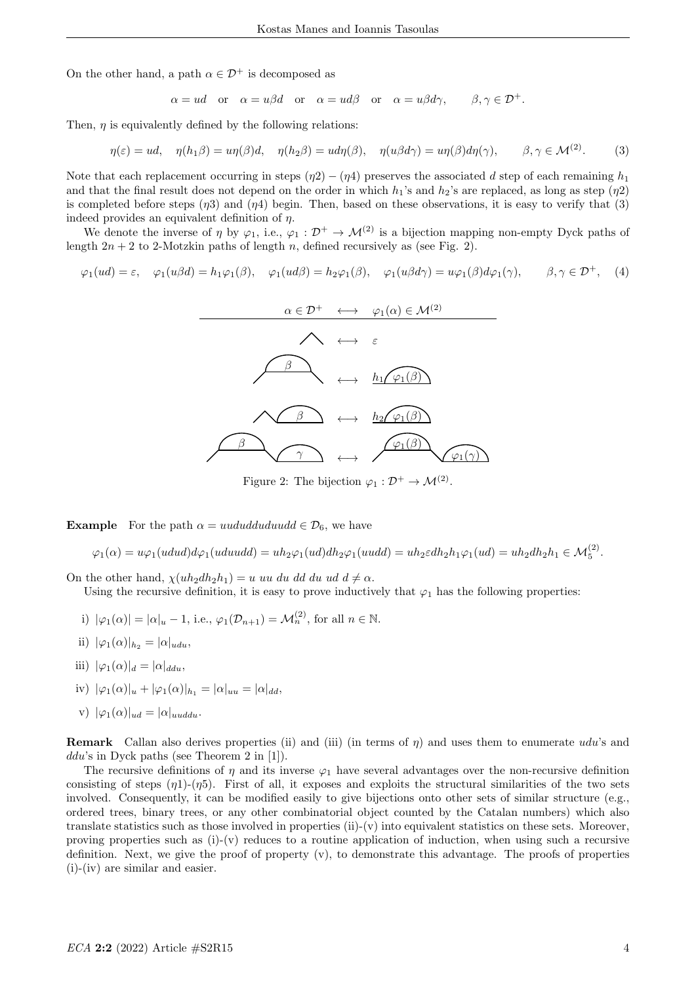On the other hand, a path  $\alpha \in \mathcal{D}^+$  is decomposed as

$$
\alpha = ud
$$
 or  $\alpha = u\beta d$  or  $\alpha = u d\beta$  or  $\alpha = u\beta d\gamma$ ,  $\beta, \gamma \in \mathcal{D}^+$ .

Then,  $\eta$  is equivalently defined by the following relations:

$$
\eta(\varepsilon) = ud, \quad \eta(h_1\beta) = u\eta(\beta)d, \quad \eta(h_2\beta) = ud\eta(\beta), \quad \eta(u\beta d\gamma) = u\eta(\beta)d\eta(\gamma), \qquad \beta, \gamma \in \mathcal{M}^{(2)}.
$$
 (3)

Note that each replacement occurring in steps  $(\eta_2) - (\eta_4)$  preserves the associated d step of each remaining  $h_1$ and that the final result does not depend on the order in which  $h_1$ 's and  $h_2$ 's are replaced, as long as step ( $\eta$ 2) is completed before steps  $(\eta_3)$  and  $(\eta_4)$  begin. Then, based on these observations, it is easy to verify that (3) indeed provides an equivalent definition of  $\eta$ .

We denote the inverse of  $\eta$  by  $\varphi_1$ , i.e.,  $\varphi_1 : \mathcal{D}^+ \to \mathcal{M}^{(2)}$  is a bijection mapping non-empty Dyck paths of length  $2n + 2$  to 2-Motzkin paths of length n, defined recursively as (see Fig. 2).

$$
\varphi_1(ud) = \varepsilon
$$
,  $\varphi_1(u\beta d) = h_1\varphi_1(\beta)$ ,  $\varphi_1(ud\beta) = h_2\varphi_1(\beta)$ ,  $\varphi_1(u\beta d\gamma) = u\varphi_1(\beta)d\varphi_1(\gamma)$ ,  $\beta, \gamma \in \mathcal{D}^+$ , (4)



Figure 2: The bijection  $\varphi_1 : \mathcal{D}^+ \to \mathcal{M}^{(2)}$ .

**Example** For the path  $\alpha = uududduduud \in \mathcal{D}_6$ , we have

$$
\varphi_1(\alpha) = u\varphi_1(udud)d\varphi_1(uduudd) = uh_2\varphi_1(ud)dh_2\varphi_1(uudd) = uh_2\in dh_2h_1\varphi_1(ud) = uh_2dh_2h_1 \in \mathcal{M}_5^{(2)}.
$$

On the other hand,  $\chi(uh_2dh_2h_1) = u$  uu du dd du ud  $d \neq \alpha$ . Using the recursive definition, it is easy to prove inductively that  $\varphi_1$  has the following properties:

- i)  $|\varphi_1(\alpha)| = |\alpha|_u 1$ , i.e.,  $\varphi_1(\mathcal{D}_{n+1}) = \mathcal{M}_n^{(2)}$ , for all  $n \in \mathbb{N}$ .
- ii)  $|\varphi_1(\alpha)|_{h_2} = |\alpha|_{udu}$
- iii)  $|\varphi_1(\alpha)|_d = |\alpha|_{ddu}$ ,
- iv)  $|\varphi_1(\alpha)|_u + |\varphi_1(\alpha)|_{h_1} = |\alpha|_{uu} = |\alpha|_{dd}$
- v)  $|\varphi_1(\alpha)|_{ud} = |\alpha|_{uuddu}.$

**Remark** Callan also derives properties (ii) and (iii) (in terms of  $\eta$ ) and uses them to enumerate udu's and ddu's in Dyck paths (see Theorem 2 in [1]).

The recursive definitions of  $\eta$  and its inverse  $\varphi_1$  have several advantages over the non-recursive definition consisting of steps  $(\eta_1)$ - $(\eta_5)$ . First of all, it exposes and exploits the structural similarities of the two sets involved. Consequently, it can be modified easily to give bijections onto other sets of similar structure (e.g., ordered trees, binary trees, or any other combinatorial object counted by the Catalan numbers) which also translate statistics such as those involved in properties (ii)-(v) into equivalent statistics on these sets. Moreover, proving properties such as  $(i)-(v)$  reduces to a routine application of induction, when using such a recursive definition. Next, we give the proof of property (v), to demonstrate this advantage. The proofs of properties (i)-(iv) are similar and easier.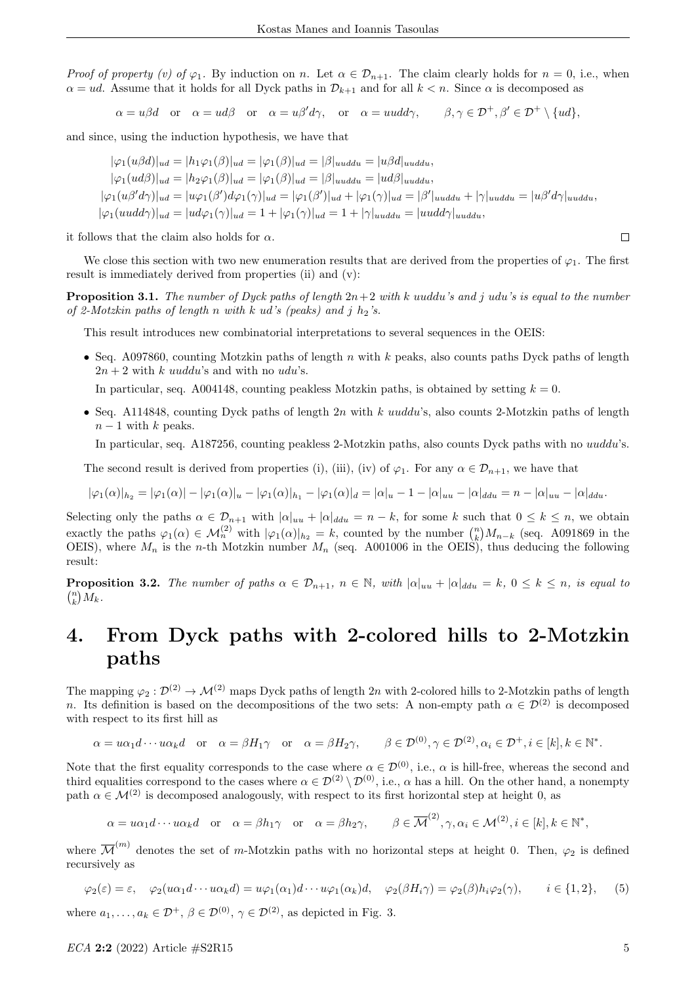Proof of property (v) of  $\varphi_1$ . By induction on n. Let  $\alpha \in \mathcal{D}_{n+1}$ . The claim clearly holds for  $n = 0$ , i.e., when  $\alpha = ud$ . Assume that it holds for all Dyck paths in  $\mathcal{D}_{k+1}$  and for all  $k < n$ . Since  $\alpha$  is decomposed as

 $\alpha = u\beta d$  or  $\alpha = ud\beta$  or  $\alpha = u\beta'd\gamma$ , or  $\alpha = uudd\gamma$ ,  $\beta, \gamma \in \mathcal{D}^+, \beta' \in \mathcal{D}^+ \setminus \{ud\}$ ,

and since, using the induction hypothesis, we have that

 $|\varphi_1(u\beta d)|_{ud} = |h_1\varphi_1(\beta)|_{ud} = |\varphi_1(\beta)|_{ud} = |\beta|_{uuddu} = |u\beta d|_{uuddu},$  $|\varphi_1(ud\beta)|_{ud} = |h_2\varphi_1(\beta)|_{ud} = |\varphi_1(\beta)|_{ud} = |\beta|_{uuddu} = |ud\beta|_{uuddu},$  $|\varphi_1(u\beta'd\gamma)|_{ud}=|u\varphi_1(\beta')d\varphi_1(\gamma)|_{ud}=|\varphi_1(\beta')|_{ud}+|\varphi_1(\gamma)|_{ud}=|\beta'|_{uuddu}+|\gamma|_{uuddu}=|u\beta'd\gamma|_{uuddu},$  $|\varphi_1(uudd\gamma)|_{ud} = |ud\varphi_1(\gamma)|_{ud} = 1 + |\varphi_1(\gamma)|_{ud} = 1 + |\gamma|_{uuddu} = |uudd\gamma|_{uuddu},$ 

it follows that the claim also holds for  $\alpha$ .

We close this section with two new enumeration results that are derived from the properties of  $\varphi_1$ . The first result is immediately derived from properties (ii) and (v):

**Proposition 3.1.** The number of Dyck paths of length  $2n+2$  with k uuddu's and j udu's is equal to the number of 2-Motzkin paths of length n with k ud's (peaks) and j  $h_2$ 's.

This result introduces new combinatorial interpretations to several sequences in the OEIS:

• Seq. A097860, counting Motzkin paths of length n with k peaks, also counts paths Dyck paths of length  $2n + 2$  with k uuddu's and with no udu's.

In particular, seq. A004148, counting peakless Motzkin paths, is obtained by setting  $k = 0$ .

• Seq. A114848, counting Dyck paths of length  $2n$  with k uuddu's, also counts 2-Motzkin paths of length  $n-1$  with k peaks.

In particular, seq. A187256, counting peakless 2-Motzkin paths, also counts Dyck paths with no uuddu's.

The second result is derived from properties (i), (iii), (iv) of  $\varphi_1$ . For any  $\alpha \in \mathcal{D}_{n+1}$ , we have that

$$
|\varphi_1(\alpha)|_{h_2} = |\varphi_1(\alpha)| - |\varphi_1(\alpha)|_u - |\varphi_1(\alpha)|_{h_1} - |\varphi_1(\alpha)|_d = |\alpha|_u - 1 - |\alpha|_{uu} - |\alpha|_{ddu} = n - |\alpha|_{uu} - |\alpha|_{ddu}.
$$

Selecting only the paths  $\alpha \in \mathcal{D}_{n+1}$  with  $|\alpha|_{uu} + |\alpha|_{du} = n - k$ , for some k such that  $0 \leq k \leq n$ , we obtain exactly the paths  $\varphi_1(\alpha) \in \mathcal{M}_n^{(2)}$  with  $|\varphi_1(\alpha)|_{h_2} = k$ , counted by the number  $\binom{n}{k} M_{n-k}$  (seq. A091869 in the OEIS), where  $M_n$  is the n-th Motzkin number  $M_n$  (seq. A001006 in the OEIS), thus deducing the following result:

**Proposition 3.2.** The number of paths  $\alpha \in \mathcal{D}_{n+1}$ ,  $n \in \mathbb{N}$ , with  $|\alpha|_{uu} + |\alpha|_{du} = k$ ,  $0 \leq k \leq n$ , is equal to  $\binom{n}{k}M_k$ .

## 4. From Dyck paths with 2-colored hills to 2-Motzkin paths

The mapping  $\varphi_2 : \mathcal{D}^{(2)} \to \mathcal{M}^{(2)}$  maps Dyck paths of length 2n with 2-colored hills to 2-Motzkin paths of length n. Its definition is based on the decompositions of the two sets: A non-empty path  $\alpha \in \mathcal{D}^{(2)}$  is decomposed with respect to its first hill as

$$
\alpha = u\alpha_1 d \cdots u\alpha_k d \quad \text{or} \quad \alpha = \beta H_1 \gamma \quad \text{or} \quad \alpha = \beta H_2 \gamma, \qquad \beta \in \mathcal{D}^{(0)}, \gamma \in \mathcal{D}^{(2)}, \alpha_i \in \mathcal{D}^+, i \in [k], k \in \mathbb{N}^*.
$$

Note that the first equality corresponds to the case where  $\alpha \in \mathcal{D}^{(0)}$ , i.e.,  $\alpha$  is hill-free, whereas the second and third equalities correspond to the cases where  $\alpha \in \mathcal{D}^{(2)} \setminus \mathcal{D}^{(0)}$ , i.e.,  $\alpha$  has a hill. On the other hand, a nonempty path  $\alpha \in \mathcal{M}^{(2)}$  is decomposed analogously, with respect to its first horizontal step at height 0, as

$$
\alpha = u\alpha_1 d \cdots u\alpha_k d \quad \text{or} \quad \alpha = \beta h_1 \gamma \quad \text{or} \quad \alpha = \beta h_2 \gamma, \qquad \beta \in \overline{\mathcal{M}}^{(2)}, \gamma, \alpha_i \in \mathcal{M}^{(2)}, i \in [k], k \in \mathbb{N}^*,
$$

where  $\overline{\mathcal{M}}^{(m)}$  denotes the set of m-Motzkin paths with no horizontal steps at height 0. Then,  $\varphi_2$  is defined recursively as

$$
\varphi_2(\varepsilon) = \varepsilon, \quad \varphi_2(u\alpha_1 d \cdots u\alpha_k d) = u\varphi_1(\alpha_1)d \cdots u\varphi_1(\alpha_k)d, \quad \varphi_2(\beta H_i \gamma) = \varphi_2(\beta)h_i\varphi_2(\gamma), \qquad i \in \{1, 2\}, \tag{5}
$$

where  $a_1, \ldots, a_k \in \mathcal{D}^+, \ \beta \in \mathcal{D}^{(0)}, \ \gamma \in \mathcal{D}^{(2)},$  as depicted in Fig. 3.

 $\Box$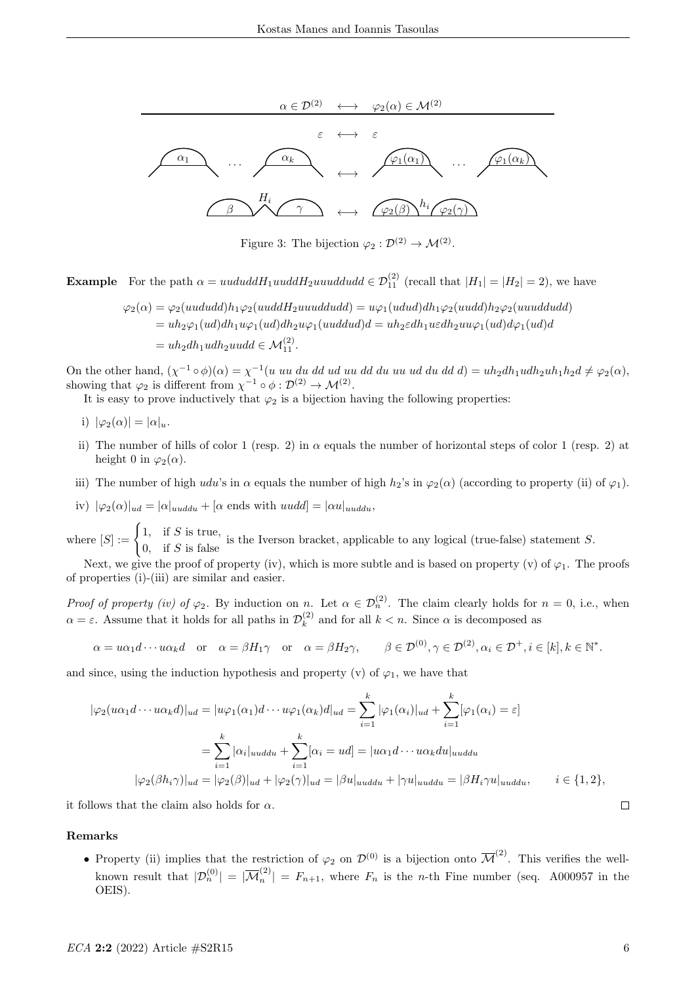

Figure 3: The bijection  $\varphi_2 : \mathcal{D}^{(2)} \to \mathcal{M}^{(2)}$ .

**Example** For the path  $\alpha = uududdH_1uuddH_2uuuddudd \in \mathcal{D}_{11}^{(2)}$  (recall that  $|H_1| = |H_2| = 2$ ), we have

$$
\varphi_2(\alpha) = \varphi_2(uududd)h_1\varphi_2(uuddH_2uuuddudd) = u\varphi_1(ududd)dh_1\varphi_2(uudd)h_2\varphi_2(uuuddudd)
$$
  
=  $uh_2\varphi_1(ud)dh_1u\varphi_1(ud)dh_2u\varphi_1(uuddudd) = uh_2edh_1uedh_2uu\varphi_1(ud)d\varphi_1(ud) =$   
=  $uh_2dh_1udh_2uudd \in \mathcal{M}_{11}^{(2)}$ .

On the other hand,  $(\chi^{-1} \circ \phi)(\alpha) = \chi^{-1}(u \ uu \ du \ du \ du \ du \ du \ du \ du \ du \ du \ du \ du \ du \ du \ du \ du \ du \ du$ showing that  $\varphi_2$  is different from  $\chi^{-1} \circ \phi : \mathcal{D}^{(2)} \to \mathcal{M}^{(2)}$ .

It is easy to prove inductively that  $\varphi_2$  is a bijection having the following properties:

- i)  $|\varphi_2(\alpha)| = |\alpha|_u$ .
- ii) The number of hills of color 1 (resp. 2) in  $\alpha$  equals the number of horizontal steps of color 1 (resp. 2) at height 0 in  $\varphi_2(\alpha)$ .
- iii) The number of high udu's in  $\alpha$  equals the number of high  $h_2$ 's in  $\varphi_2(\alpha)$  (according to property (ii) of  $\varphi_1$ ).
- iv)  $|\varphi_2(\alpha)|_{ud} = |\alpha|_{uuddu} + |\alpha \text{ ends with } uudd| = |\alpha u|_{uuddu},$

where  $[S] := \begin{cases} 1, & \text{if } S \text{ is true,} \\ 0, & \text{if } S \in \mathbb{R} \end{cases}$  $\frac{1}{10}$ , if S is false is the Iverson bracket, applicable to any logical (true-false) statement S.<br>0, if S is false

Next, we give the proof of property (iv), which is more subtle and is based on property (v) of  $\varphi_1$ . The proofs of properties (i)-(iii) are similar and easier.

Proof of property (iv) of  $\varphi_2$ . By induction on n. Let  $\alpha \in \mathcal{D}_n^{(2)}$ . The claim clearly holds for  $n = 0$ , i.e., when  $\alpha = \varepsilon$ . Assume that it holds for all paths in  $\mathcal{D}_k^{(2)}$  $\binom{1}{k}$  and for all  $k < n$ . Since  $\alpha$  is decomposed as

$$
\alpha = u\alpha_1 d \cdots u\alpha_k d \quad \text{or} \quad \alpha = \beta H_1 \gamma \quad \text{or} \quad \alpha = \beta H_2 \gamma, \qquad \beta \in \mathcal{D}^{(0)}, \gamma \in \mathcal{D}^{(2)}, \alpha_i \in \mathcal{D}^+, i \in [k], k \in \mathbb{N}^*.
$$

and since, using the induction hypothesis and property (v) of  $\varphi_1$ , we have that

$$
|\varphi_2( u\alpha_1 d \cdots u\alpha_k d)|_{ud} = |u\varphi_1(\alpha_1)d \cdots u\varphi_1(\alpha_k)d|_{ud} = \sum_{i=1}^k |\varphi_1(\alpha_i)|_{ud} + \sum_{i=1}^k [\varphi_1(\alpha_i) = \varepsilon]
$$
  

$$
= \sum_{i=1}^k |\alpha_i|_{uuddu} + \sum_{i=1}^k [\alpha_i = ud] = |u\alpha_1 d \cdots u\alpha_k du|_{uuddu}
$$
  

$$
|\varphi_2(\beta h_i \gamma)|_{ud} = |\varphi_2(\beta)|_{ud} + |\varphi_2(\gamma)|_{ud} = |\beta u|_{uuddu} + |\gamma u|_{uuddu} = |\beta H_i \gamma u|_{uuddu}, \qquad i \in \{1, 2\},
$$

it follows that the claim also holds for  $\alpha$ .

#### Remarks

• Property (ii) implies that the restriction of  $\varphi_2$  on  $\mathcal{D}^{(0)}$  is a bijection onto  $\overline{\mathcal{M}}^{(2)}$ . This verifies the wellknown result that  $|\mathcal{D}_n^{(0)}| = |\overline{\mathcal{M}}_n^{(2)}|$  $\binom{N}{n} = F_{n+1}$ , where  $F_n$  is the *n*-th Fine number (seq. A000957 in the OEIS).

 $\Box$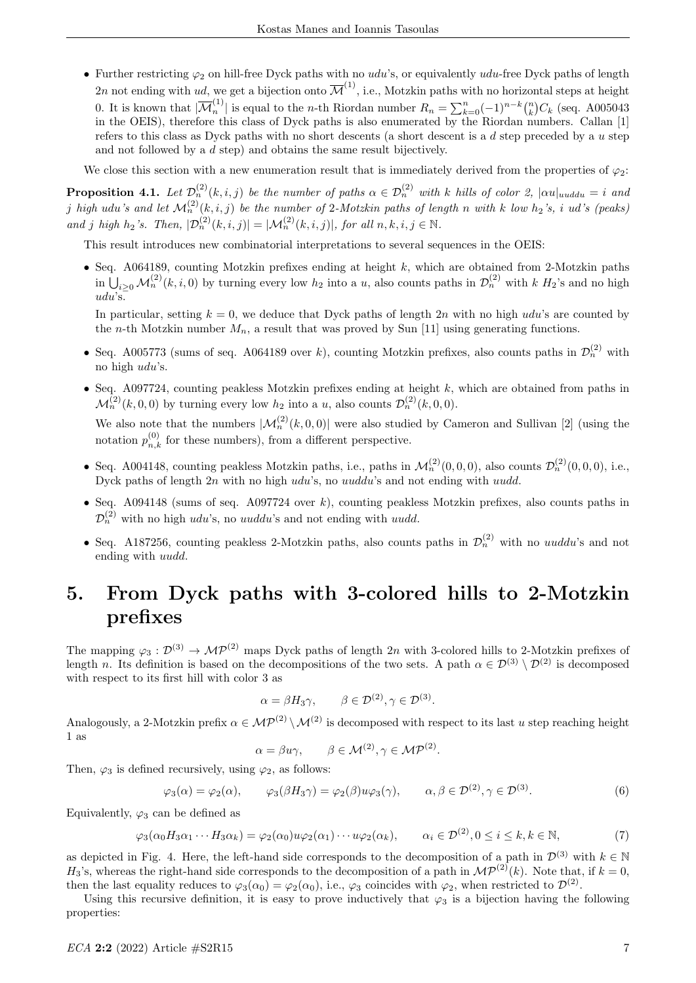• Further restricting  $\varphi_2$  on hill-free Dyck paths with no udu's, or equivalently udu-free Dyck paths of length 2n not ending with ud, we get a bijection onto  $\overline{\mathcal{M}}^{(1)}$ , i.e., Motzkin paths with no horizontal steps at height 0. It is known that  $|\overline{\mathcal{M}}_n^{(1)}|$ <sup>(1)</sup> is equal to the *n*-th Riordan number  $R_n = \sum_{k=0}^n (-1)^{n-k} {n \choose k} C_k$  (seq. A005043) in the OEIS), therefore this class of Dyck paths is also enumerated by the Riordan numbers. Callan [1] refers to this class as Dyck paths with no short descents (a short descent is a  $d$  step preceded by a  $u$  step and not followed by a d step) and obtains the same result bijectively.

We close this section with a new enumeration result that is immediately derived from the properties of  $\varphi_2$ :

**Proposition 4.1.** Let  $\mathcal{D}_n^{(2)}(k,i,j)$  be the number of paths  $\alpha \in \mathcal{D}_n^{(2)}$  with k hills of color 2,  $|\alpha u|_{uuddu} = i$  and j high udu's and let  $\mathcal{M}_n^{(2)}(k,i,j)$  be the number of 2-Motzkin paths of length n with k low  $h_2$ 's, i ud's (peaks) and j high  $h_2$ 's. Then,  $|\mathcal{D}_n^{(2)}(k,i,j)| = |\mathcal{M}_n^{(2)}(k,i,j)|$ , for all  $n, k, i, j \in \mathbb{N}$ .

This result introduces new combinatorial interpretations to several sequences in the OEIS:

• Seq. A064189, counting Motzkin prefixes ending at height  $k$ , which are obtained from 2-Motzkin paths in  $\bigcup_{i\geq 0} \mathcal{M}_n^{(2)}(k, i, 0)$  by turning every low  $h_2$  into a u, also counts paths in  $\mathcal{D}_n^{(2)}$  with k  $H_2$ 's and no high udu's.

In particular, setting  $k = 0$ , we deduce that Dyck paths of length 2n with no high udu's are counted by the *n*-th Motzkin number  $M_n$ , a result that was proved by Sun [11] using generating functions.

- Seq. A005773 (sums of seq. A064189 over k), counting Motzkin prefixes, also counts paths in  $\mathcal{D}_n^{(2)}$  with no high udu's.
- Seq. A097724, counting peakless Motzkin prefixes ending at height  $k$ , which are obtained from paths in  $\mathcal{M}_n^{(2)}(k,0,0)$  by turning every low  $h_2$  into a u, also counts  $\mathcal{D}_n^{(2)}(k,0,0)$ .

We also note that the numbers  $|\mathcal{M}_n^{(2)}(k, 0, 0)|$  were also studied by Cameron and Sullivan [2] (using the notation  $p_{n,k}^{(0)}$  for these numbers), from a different perspective.

- Seq. A004148, counting peakless Motzkin paths, i.e., paths in  $\mathcal{M}_n^{(2)}(0,0,0)$ , also counts  $\mathcal{D}_n^{(2)}(0,0,0)$ , i.e., Dyck paths of length  $2n$  with no high udu's, no uuddu's and not ending with uudd.
- Seq. A094148 (sums of seq. A097724 over  $k$ ), counting peakless Motzkin prefixes, also counts paths in  $\mathcal{D}_n^{(2)}$  with no high udu's, no uuddu's and not ending with uudd.
- Seq. A187256, counting peakless 2-Motzkin paths, also counts paths in  $\mathcal{D}_n^{(2)}$  with no *uuddu*'s and not ending with uudd.

## 5. From Dyck paths with 3-colored hills to 2-Motzkin prefixes

The mapping  $\varphi_3 : \mathcal{D}^{(3)} \to \mathcal{MP}^{(2)}$  maps Dyck paths of length 2n with 3-colored hills to 2-Motzkin prefixes of length n. Its definition is based on the decompositions of the two sets. A path  $\alpha \in \mathcal{D}^{(3)} \setminus \mathcal{D}^{(2)}$  is decomposed with respect to its first hill with color 3 as

$$
\alpha = \beta H_3 \gamma, \qquad \beta \in \mathcal{D}^{(2)}, \gamma \in \mathcal{D}^{(3)}.
$$

Analogously, a 2-Motzkin prefix  $\alpha \in \mathcal{MP}^{(2)} \setminus \mathcal{M}^{(2)}$  is decomposed with respect to its last u step reaching height 1 as

$$
\alpha = \beta u \gamma, \qquad \beta \in \mathcal{M}^{(2)}, \gamma \in \mathcal{MP}^{(2)}.
$$

Then,  $\varphi_3$  is defined recursively, using  $\varphi_2$ , as follows:

$$
\varphi_3(\alpha) = \varphi_2(\alpha), \qquad \varphi_3(\beta H_3 \gamma) = \varphi_2(\beta) u \varphi_3(\gamma), \qquad \alpha, \beta \in \mathcal{D}^{(2)}, \gamma \in \mathcal{D}^{(3)}.
$$
\n
$$
(6)
$$

Equivalently,  $\varphi_3$  can be defined as

$$
\varphi_3(\alpha_0 H_3 \alpha_1 \cdots H_3 \alpha_k) = \varphi_2(\alpha_0) u \varphi_2(\alpha_1) \cdots u \varphi_2(\alpha_k), \qquad \alpha_i \in \mathcal{D}^{(2)}, 0 \le i \le k, k \in \mathbb{N},\tag{7}
$$

as depicted in Fig. 4. Here, the left-hand side corresponds to the decomposition of a path in  $\mathcal{D}^{(3)}$  with  $k \in \mathbb{N}$  $H_3$ 's, whereas the right-hand side corresponds to the decomposition of a path in  $\mathcal{MP}^{(2)}(k)$ . Note that, if  $k = 0$ , then the last equality reduces to  $\varphi_3(\alpha_0) = \varphi_2(\alpha_0)$ , i.e.,  $\varphi_3$  coincides with  $\varphi_2$ , when restricted to  $\mathcal{D}^{(2)}$ .

Using this recursive definition, it is easy to prove inductively that  $\varphi_3$  is a bijection having the following properties: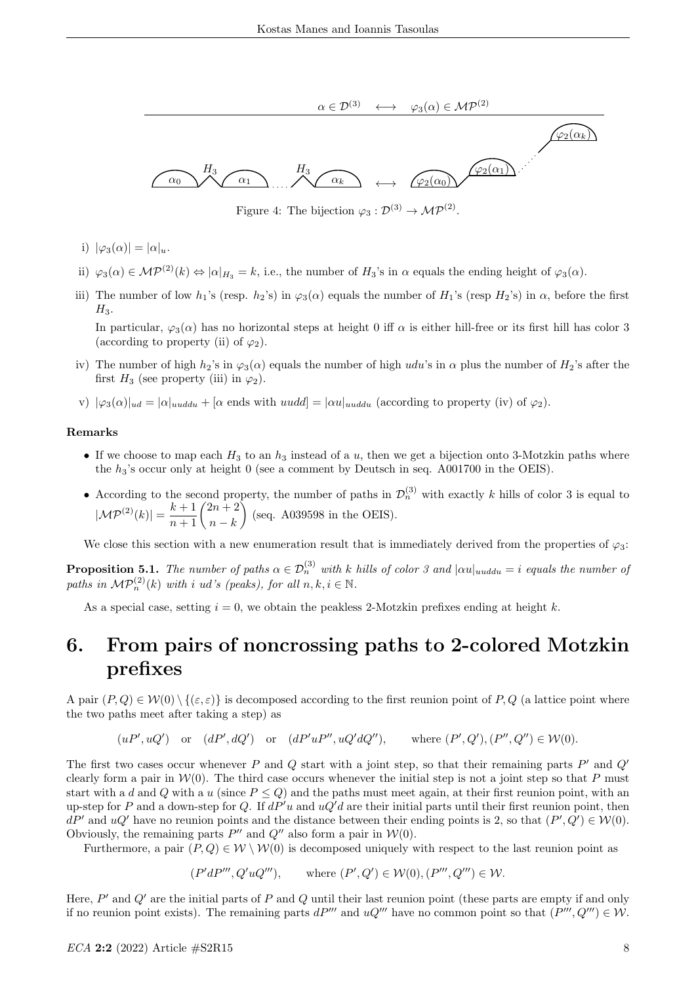

Figure 4: The bijection  $\varphi_3 : \mathcal{D}^{(3)} \to \mathcal{MP}^{(2)}$ .

- i)  $|\varphi_3(\alpha)| = |\alpha|_u$ .
- ii)  $\varphi_3(\alpha) \in \mathcal{MP}^{(2)}(k) \Leftrightarrow |\alpha|_{H_3} = k$ , i.e., the number of  $H_3$ 's in  $\alpha$  equals the ending height of  $\varphi_3(\alpha)$ .
- iii) The number of low  $h_1$ 's (resp.  $h_2$ 's) in  $\varphi_3(\alpha)$  equals the number of  $H_1$ 's (resp  $H_2$ 's) in  $\alpha$ , before the first  $H_3$ .

In particular,  $\varphi_3(\alpha)$  has no horizontal steps at height 0 iff  $\alpha$  is either hill-free or its first hill has color 3 (according to property (ii) of  $\varphi_2$ ).

- iv) The number of high  $h_2$ 's in  $\varphi_3(\alpha)$  equals the number of high udu's in  $\alpha$  plus the number of  $H_2$ 's after the first  $H_3$  (see property (iii) in  $\varphi_2$ ).
- v)  $|\varphi_3(\alpha)|_{ud} = |\alpha|_{uuddu} + |\alpha \text{ ends with } uudd| = |\alpha u|_{uuddu}$  (according to property (iv) of  $\varphi_2$ ).

#### Remarks

- If we choose to map each  $H_3$  to an  $h_3$  instead of a u, then we get a bijection onto 3-Motzkin paths where the  $h_3$ 's occur only at height 0 (see a comment by Deutsch in seq. A001700 in the OEIS).
- According to the second property, the number of paths in  $\mathcal{D}_n^{(3)}$  with exactly k hills of color 3 is equal to  $|\mathcal{MP}^{(2)}(k)| = \frac{k+1}{n+1} \binom{2n+2}{n-k}$  $n - k$  $\Big)$  (seq. A039598 in the OEIS).

We close this section with a new enumeration result that is immediately derived from the properties of  $\varphi_3$ :

**Proposition 5.1.** The number of paths  $\alpha \in \mathcal{D}_n^{(3)}$  with k hills of color 3 and  $|\alpha u|_{uuddu} = i$  equals the number of paths in  $\mathcal{MP}_n^{(2)}(k)$  with i ud's (peaks), for all  $n, k, i \in \mathbb{N}$ .

As a special case, setting  $i = 0$ , we obtain the peakless 2-Motzkin prefixes ending at height k.

### 6. From pairs of noncrossing paths to 2-colored Motzkin prefixes

A pair  $(P,Q) \in \mathcal{W}(0) \setminus \{(\varepsilon,\varepsilon)\}\$ is decomposed according to the first reunion point of P, Q (a lattice point where the two paths meet after taking a step) as

$$
(uP', uQ')
$$
 or  $(dP', dQ')$  or  $(dP'uP'', uQ'dQ'')$ , where  $(P', Q'), (P'', Q'') \in W(0)$ .

The first two cases occur whenever P and Q start with a joint step, so that their remaining parts  $P'$  and  $Q'$ clearly form a pair in  $W(0)$ . The third case occurs whenever the initial step is not a joint step so that P must start with a d and Q with a u (since  $P \leq Q$ ) and the paths must meet again, at their first reunion point, with an up-step for P and a down-step for Q. If  $dP'u$  and  $uQ'd$  are their initial parts until their first reunion point, then  $dP'$  and  $uQ'$  have no reunion points and the distance between their ending points is 2, so that  $(P', Q') \in W(0)$ . Obviously, the remaining parts  $P''$  and  $Q''$  also form a pair in  $W(0)$ .

Furthermore, a pair  $(P,Q) \in W \setminus W(0)$  is decomposed uniquely with respect to the last reunion point as

$$
(P'dP''', Q'uQ'''),
$$
 where  $(P', Q') \in W(0), (P''', Q'') \in W.$ 

Here,  $P'$  and  $Q'$  are the initial parts of P and Q until their last reunion point (these parts are empty if and only if no reunion point exists). The remaining parts  $dP'''$  and  $uQ'''$  have no common point so that  $(P''', Q''') \in W$ .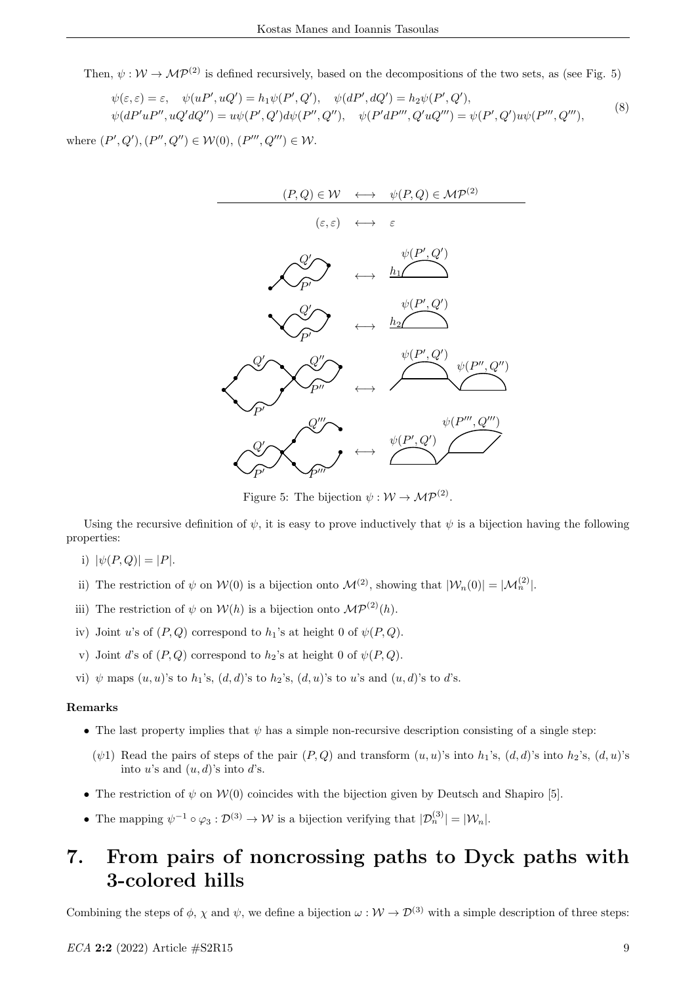Then,  $\psi : \mathcal{W} \to \mathcal{MP}^{(2)}$  is defined recursively, based on the decompositions of the two sets, as (see Fig. 5)

$$
\psi(\varepsilon, \varepsilon) = \varepsilon, \quad \psi(uP', uQ') = h_1 \psi(P', Q'), \quad \psi(dP', dQ') = h_2 \psi(P', Q'),\n\psi(dP'uP'', uQ'dQ'') = u\psi(P', Q')d\psi(P'', Q''), \quad \psi(P'dP''', Q'uQ''') = \psi(P', Q')u\psi(P''', Q'''),
$$
\n(8)

where  $(P', Q'), (P'', Q'') \in W(0), (P''', Q''') \in W$ .



Figure 5: The bijection  $\psi : \mathcal{W} \to \mathcal{MP}^{(2)}$ .

Using the recursive definition of  $\psi$ , it is easy to prove inductively that  $\psi$  is a bijection having the following properties:

- i)  $|\psi(P,Q)| = |P|$ .
- ii) The restriction of  $\psi$  on  $W(0)$  is a bijection onto  $\mathcal{M}^{(2)}$ , showing that  $|W_n(0)| = |\mathcal{M}_n^{(2)}|$ .
- iii) The restriction of  $\psi$  on  $W(h)$  is a bijection onto  $\mathcal{MP}^{(2)}(h)$ .
- iv) Joint u's of  $(P, Q)$  correspond to  $h_1$ 's at height 0 of  $\psi(P, Q)$ .
- v) Joint d's of  $(P,Q)$  correspond to  $h_2$ 's at height 0 of  $\psi(P,Q)$ .
- vi)  $\psi$  maps  $(u, u)$ 's to  $h_1$ 's,  $(d, d)$ 's to  $h_2$ 's,  $(d, u)$ 's to u's and  $(u, d)$ 's to d's.

#### Remarks

- The last property implies that  $\psi$  has a simple non-recursive description consisting of a single step:
	- ( $\psi$ 1) Read the pairs of steps of the pair  $(P,Q)$  and transform  $(u, u)$ 's into  $h_1$ 's,  $(d, d)$ 's into  $h_2$ 's,  $(d, u)$ 's into u's and  $(u, d)$ 's into d's.
- The restriction of  $\psi$  on  $\mathcal{W}(0)$  coincides with the bijection given by Deutsch and Shapiro [5].
- The mapping  $\psi^{-1} \circ \varphi_3 : \mathcal{D}^{(3)} \to \mathcal{W}$  is a bijection verifying that  $|\mathcal{D}_n^{(3)}| = |\mathcal{W}_n|$ .

## 7. From pairs of noncrossing paths to Dyck paths with 3-colored hills

Combining the steps of  $\phi$ ,  $\chi$  and  $\psi$ , we define a bijection  $\omega : W \to \mathcal{D}^{(3)}$  with a simple description of three steps: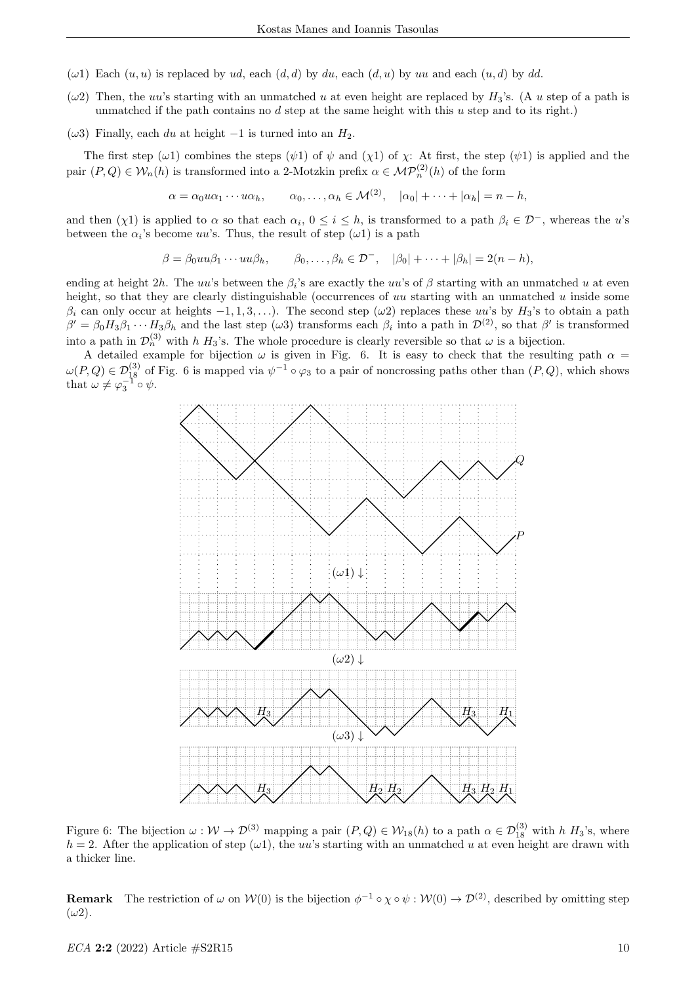- $(\omega 1)$  Each  $(u, u)$  is replaced by ud, each  $(d, d)$  by du, each  $(d, u)$  by uu and each  $(u, d)$  by dd.
- $(\omega 2)$  Then, the uu's starting with an unmatched u at even height are replaced by  $H_3$ 's. (A u step of a path is unmatched if the path contains no  $d$  step at the same height with this  $u$  step and to its right.)
- $(\omega 3)$  Finally, each du at height -1 is turned into an  $H_2$ .

The first step ( $\omega$ 1) combines the steps ( $\psi$ 1) of  $\psi$  and ( $\chi$ 1) of  $\chi$ : At first, the step ( $\psi$ 1) is applied and the pair  $(P,Q) \in W_n(h)$  is transformed into a 2-Motzkin prefix  $\alpha \in \mathcal{MP}_n^{(2)}(h)$  of the form

$$
\alpha = \alpha_0 u \alpha_1 \cdots u \alpha_h, \qquad \alpha_0, \ldots, \alpha_h \in \mathcal{M}^{(2)}, \quad |\alpha_0| + \cdots + |\alpha_h| = n - h,
$$

and then  $(\chi 1)$  is applied to  $\alpha$  so that each  $\alpha_i$ ,  $0 \le i \le h$ , is transformed to a path  $\beta_i \in \mathcal{D}^-$ , whereas the u's between the  $\alpha_i$ 's become uu's. Thus, the result of step  $(\omega 1)$  is a path

$$
\beta = \beta_0 u u \beta_1 \cdots u u \beta_h, \qquad \beta_0, \ldots, \beta_h \in \mathcal{D}^-, \quad |\beta_0| + \cdots + |\beta_h| = 2(n - h),
$$

ending at height 2h. The uu's between the  $\beta_i$ 's are exactly the uu's of  $\beta$  starting with an unmatched u at even height, so that they are clearly distinguishable (occurrences of  $uu$  starting with an unmatched  $u$  inside some  $\beta_i$  can only occur at heights  $-1, 1, 3, \ldots$ ). The second step ( $\omega$ 2) replaces these uu's by  $H_3$ 's to obtain a path  $\beta' = \beta_0 H_3 \beta_1 \cdots H_3 \beta_h$  and the last step ( $\omega_3$ ) transforms each  $\beta_i$  into a path in  $\mathcal{D}^{(2)}$ , so that  $\beta'$  is transformed into a path in  $\mathcal{D}_n^{(3)}$  with h  $H_3$ 's. The whole procedure is clearly reversible so that  $\omega$  is a bijection.

A detailed example for bijection  $\omega$  is given in Fig. 6. It is easy to check that the resulting path  $\alpha$  =  $\omega(P,Q) \in \mathcal{D}_{18}^{(3)}$  of Fig. 6 is mapped via  $\psi^{-1} \circ \varphi_3$  to a pair of noncrossing paths other than  $(P,Q)$ , which shows that  $\omega \neq \varphi_3^{-1} \circ \psi$ .



Figure 6: The bijection  $\omega : W \to \mathcal{D}^{(3)}$  mapping a pair  $(P,Q) \in W_{18}(h)$  to a path  $\alpha \in \mathcal{D}_{18}^{(3)}$  with h  $H_3$ 's, where  $h = 2$ . After the application of step ( $\omega$ 1), the uu's starting with an unmatched u at even height are drawn with a thicker line.

**Remark** The restriction of  $\omega$  on  $W(0)$  is the bijection  $\phi^{-1} \circ \chi \circ \psi : W(0) \to \mathcal{D}^{(2)}$ , described by omitting step  $(\omega 2)$ .